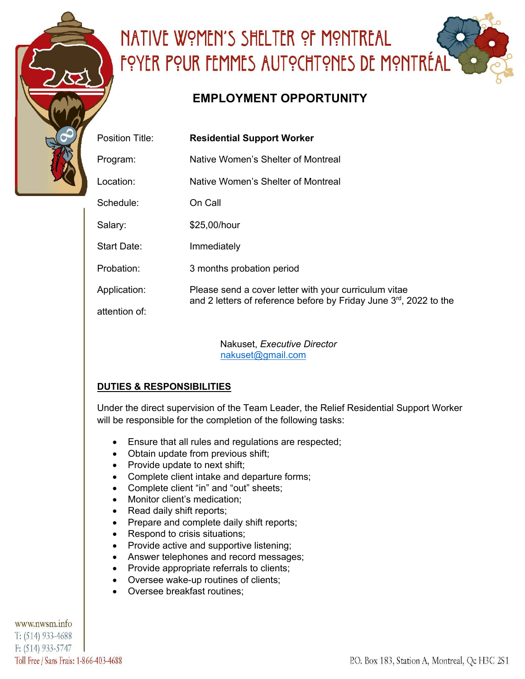

# NATIVE WOMEN'S SHELTER OF MONTREAL <u>FOYER POUR FEMMES AUTOCHTONES DE MONTRÉAL</u>

## **EMPLOYMENT OPPORTUNITY**

| Location:          | Native Women's Shelter of Montreal                                                                                                      |
|--------------------|-----------------------------------------------------------------------------------------------------------------------------------------|
| Schedule:          | On Call                                                                                                                                 |
| Salary:            | \$25,00/hour                                                                                                                            |
| <b>Start Date:</b> | Immediately                                                                                                                             |
| Probation:         | 3 months probation period                                                                                                               |
| Application:       | Please send a cover letter with your curriculum vitae<br>and 2 letters of reference before by Friday June 3 <sup>rd</sup> , 2022 to the |
| attention of:      |                                                                                                                                         |

Nakuset, *Executive Director* nakuset@gmail.com

### **DUTIES & RESPONSIBILITIES**

Under the direct supervision of the Team Leader, the Relief Residential Support Worker will be responsible for the completion of the following tasks:

- Ensure that all rules and regulations are respected;
- Obtain update from previous shift;
- Provide update to next shift;
- Complete client intake and departure forms;
- Complete client "in" and "out" sheets;
- Monitor client's medication;
- Read daily shift reports;
- Prepare and complete daily shift reports;
- Respond to crisis situations;
- Provide active and supportive listening;
- Answer telephones and record messages;
- Provide appropriate referrals to clients;
- Oversee wake-up routines of clients;
- Oversee breakfast routines;

www.nwsm.info T: (514) 933-4688 F: (514) 933-5747 Toll Free / Sans Frais: 1-866-403-4688

#### P.O. Box 183, Station A, Montreal, Qc H3C 2S1